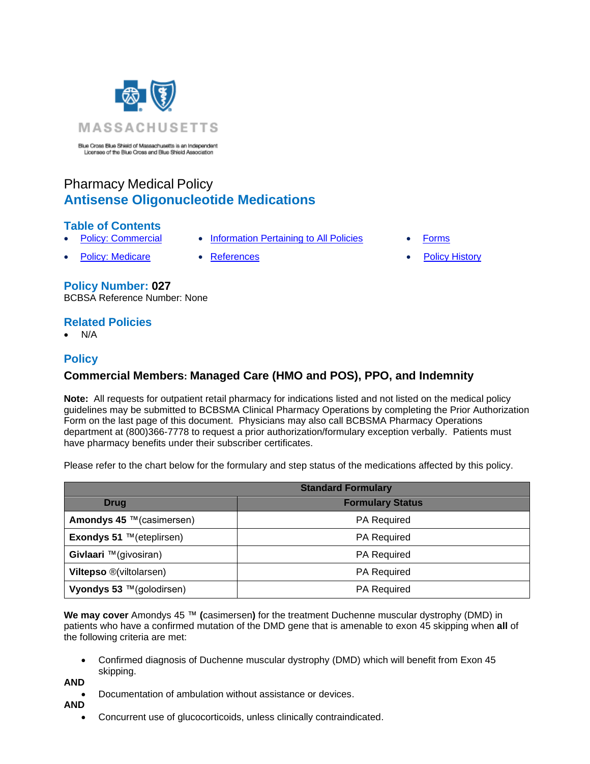

Blue Cross Blue Shield of Massachusetts is an Independent Licensee of the Blue Cross and Blue Shield Association

# Pharmacy Medical Policy **Antisense Oligonucleotide Medications**

# **Table of Contents**

- 
- 
- **[Policy: Commercial](#page-0-0) [Information Pertaining](#page-3-0) to All Policies [Forms](http://www.bluecrossma.org/medical-policies/sites/g/files/csphws2091/files/acquiadam-assets/023%20E%20Form%20medication%20prior%20auth%20instruction%20prn.pdf)** 
	-
	- **[Policy: Medicare](#page-0-0) [References](#page-3-1) References [Policy History](#page-3-2)**

# **Policy Number: 027**

BCBSA Reference Number: None

# **Related Policies**

• N/A

# **Policy**

# <span id="page-0-0"></span>**Commercial Members: Managed Care (HMO and POS), PPO, and Indemnity**

**Note:** All requests for outpatient retail pharmacy for indications listed and not listed on the medical policy guidelines may be submitted to BCBSMA Clinical Pharmacy Operations by completing the Prior Authorization Form on the last page of this document. Physicians may also call BCBSMA Pharmacy Operations department at (800)366-7778 to request a prior authorization/formulary exception verbally. Patients must have pharmacy benefits under their subscriber certificates.

Please refer to the chart below for the formulary and step status of the medications affected by this policy.

| <b>Standard Formulary</b>       |                         |
|---------------------------------|-------------------------|
| <b>Drug</b>                     | <b>Formulary Status</b> |
| Amondys 45 ™ (casimersen)       | <b>PA Required</b>      |
| <b>Exondys 51</b> ™(eteplirsen) | <b>PA Required</b>      |
| Givlaari ™(givosiran)           | <b>PA Required</b>      |
| <b>Viltepso ®(viltolarsen)</b>  | <b>PA Required</b>      |
| Vyondys 53 ™(golodirsen)        | <b>PA Required</b>      |

**We may cover** Amondys 45 ™ **(**casimersen**)** for the treatment Duchenne muscular dystrophy (DMD) in patients who have a confirmed mutation of the DMD gene that is amenable to exon 45 skipping when **all** of the following criteria are met:

• Confirmed diagnosis of Duchenne muscular dystrophy (DMD) which will benefit from Exon 45 skipping.

**AND**

- Documentation of ambulation without assistance or devices.
- **AND**
	- Concurrent use of glucocorticoids, unless clinically contraindicated.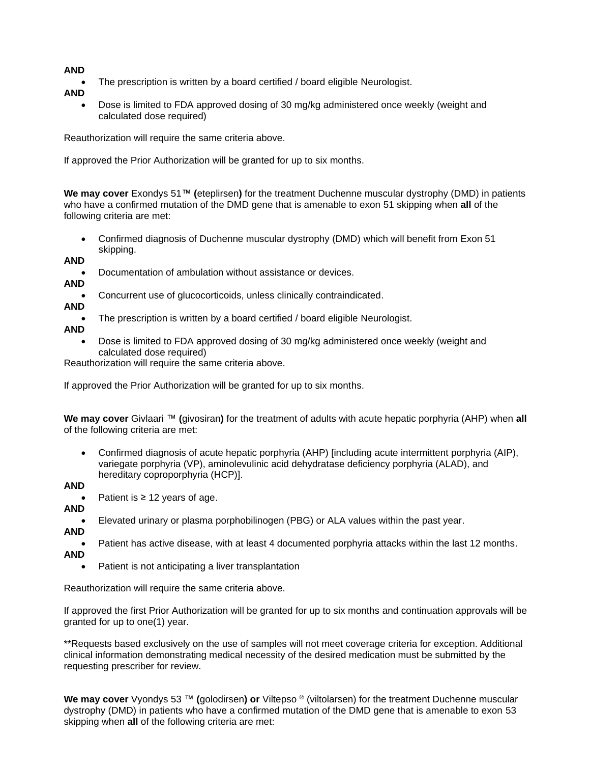### **AND**

- The prescription is written by a board certified / board eligible Neurologist.
- **AND**
	- Dose is limited to FDA approved dosing of 30 mg/kg administered once weekly (weight and calculated dose required)

Reauthorization will require the same criteria above.

If approved the Prior Authorization will be granted for up to six months.

**We may cover** Exondys 51™ **(**eteplirsen**)** for the treatment Duchenne muscular dystrophy (DMD) in patients who have a confirmed mutation of the DMD gene that is amenable to exon 51 skipping when **all** of the following criteria are met:

- Confirmed diagnosis of Duchenne muscular dystrophy (DMD) which will benefit from Exon 51 skipping.
- **AND**
	- Documentation of ambulation without assistance or devices.
- **AND**
- Concurrent use of glucocorticoids, unless clinically contraindicated.
- **AND**

The prescription is written by a board certified / board eligible Neurologist.

- **AND**
	- Dose is limited to FDA approved dosing of 30 mg/kg administered once weekly (weight and calculated dose required)

Reauthorization will require the same criteria above.

If approved the Prior Authorization will be granted for up to six months.

**We may cover** Givlaari ™ **(**givosiran**)** for the treatment of adults with acute hepatic porphyria (AHP) when **all**  of the following criteria are met:

• Confirmed diagnosis of acute hepatic porphyria (AHP) [including acute intermittent porphyria (AIP), variegate porphyria (VP), aminolevulinic acid dehydratase deficiency porphyria (ALAD), and hereditary coproporphyria (HCP)].

**AND**

- Patient is  $\geq 12$  years of age.
- **AND**
- Elevated urinary or plasma porphobilinogen (PBG) or ALA values within the past year.
- **AND**

• Patient has active disease, with at least 4 documented porphyria attacks within the last 12 months.

- **AND**
	- Patient is not anticipating a liver transplantation

Reauthorization will require the same criteria above.

If approved the first Prior Authorization will be granted for up to six months and continuation approvals will be granted for up to one(1) year.

\*\*Requests based exclusively on the use of samples will not meet coverage criteria for exception. Additional clinical information demonstrating medical necessity of the desired medication must be submitted by the requesting prescriber for review.

**We may cover** Vyondys 53 ™ **(**golodirsen**) or** Viltepso ® (viltolarsen) for the treatment Duchenne muscular dystrophy (DMD) in patients who have a confirmed mutation of the DMD gene that is amenable to exon 53 skipping when **all** of the following criteria are met: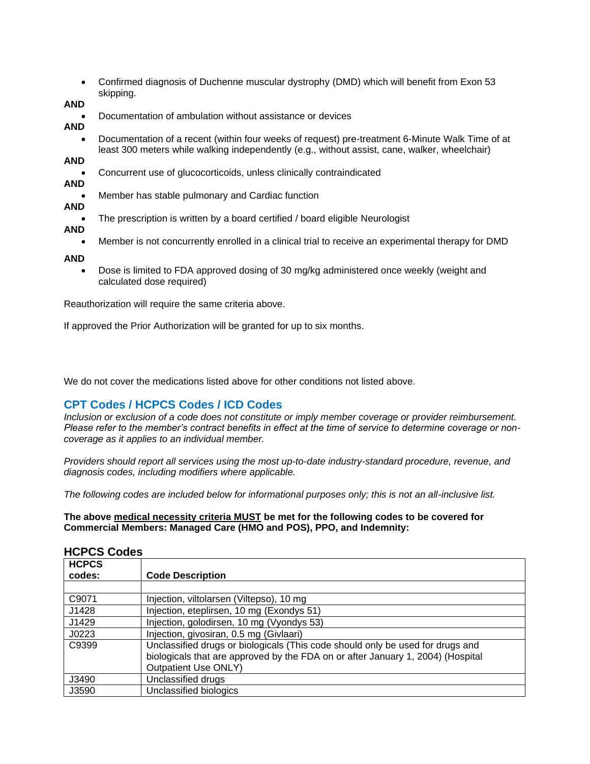• Confirmed diagnosis of Duchenne muscular dystrophy (DMD) which will benefit from Exon 53 skipping.

#### **AND**

• Documentation of ambulation without assistance or devices

### **AND**

• Documentation of a recent (within four weeks of request) pre-treatment 6-Minute Walk Time of at least 300 meters while walking independently (e.g., without assist, cane, walker, wheelchair)

# **AND**

- Concurrent use of glucocorticoids, unless clinically contraindicated
- **AND**
- Member has stable pulmonary and Cardiac function

## **AND**

- The prescription is written by a board certified / board eligible Neurologist
- **AND**
	- Member is not concurrently enrolled in a clinical trial to receive an experimental therapy for DMD

#### **AND**

• Dose is limited to FDA approved dosing of 30 mg/kg administered once weekly (weight and calculated dose required)

Reauthorization will require the same criteria above.

If approved the Prior Authorization will be granted for up to six months.

We do not cover the medications listed above for other conditions not listed above.

# **CPT Codes / HCPCS Codes / ICD Codes**

*Inclusion or exclusion of a code does not constitute or imply member coverage or provider reimbursement. Please refer to the member's contract benefits in effect at the time of service to determine coverage or noncoverage as it applies to an individual member.*

*Providers should report all services using the most up-to-date industry-standard procedure, revenue, and diagnosis codes, including modifiers where applicable.*

*The following codes are included below for informational purposes only; this is not an all-inclusive list.*

**The above medical necessity criteria MUST be met for the following codes to be covered for Commercial Members: Managed Care (HMO and POS), PPO, and Indemnity:**

| <b>HCPCS</b> |                                                                                                                                                                                                  |  |
|--------------|--------------------------------------------------------------------------------------------------------------------------------------------------------------------------------------------------|--|
| codes:       | <b>Code Description</b>                                                                                                                                                                          |  |
|              |                                                                                                                                                                                                  |  |
| C9071        | Injection, viltolarsen (Viltepso), 10 mg                                                                                                                                                         |  |
| J1428        | Injection, eteplirsen, 10 mg (Exondys 51)                                                                                                                                                        |  |
| J1429        | Injection, golodirsen, 10 mg (Vyondys 53)                                                                                                                                                        |  |
| J0223        | Injection, givosiran, 0.5 mg (Givlaari)                                                                                                                                                          |  |
| C9399        | Unclassified drugs or biologicals (This code should only be used for drugs and<br>biologicals that are approved by the FDA on or after January 1, 2004) (Hospital<br><b>Outpatient Use ONLY)</b> |  |
| J3490        | Unclassified drugs                                                                                                                                                                               |  |
| J3590        | Unclassified biologics                                                                                                                                                                           |  |

### **HCPCS Codes**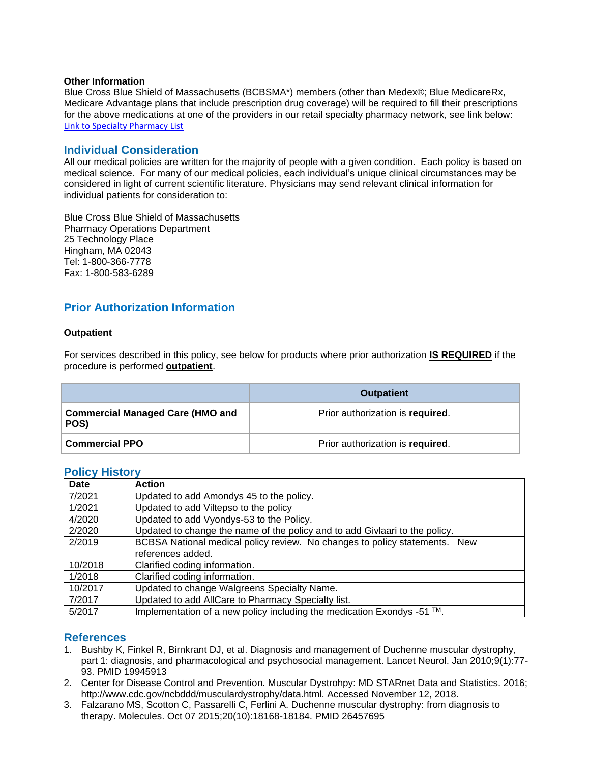#### **Other Information**

Blue Cross Blue Shield of Massachusetts (BCBSMA\*) members (other than Medex®; Blue MedicareRx, Medicare Advantage plans that include prescription drug coverage) will be required to fill their prescriptions for the above medications at one of the providers in our retail specialty pharmacy network, see link below: [Link to Specialty Pharmacy List](https://www.bluecrossma.org/medical-policies/sites/g/files/csphws2091/files/acquiadam-assets/051%20Pharmacy%20Specialty%20List%20prn.pdf)

## <span id="page-3-0"></span>**Individual Consideration**

All our medical policies are written for the majority of people with a given condition. Each policy is based on medical science. For many of our medical policies, each individual's unique clinical circumstances may be considered in light of current scientific literature. Physicians may send relevant clinical information for individual patients for consideration to:

Blue Cross Blue Shield of Massachusetts Pharmacy Operations Department 25 Technology Place Hingham, MA 02043 Tel: 1-800-366-7778 Fax: 1-800-583-6289

# **Prior Authorization Information**

#### **Outpatient**

For services described in this policy, see below for products where prior authorization **IS REQUIRED** if the procedure is performed **outpatient**.

|                                                 | <b>Outpatient</b>                |
|-------------------------------------------------|----------------------------------|
| <b>Commercial Managed Care (HMO and</b><br>POS) | Prior authorization is required. |
| <b>Commercial PPO</b>                           | Prior authorization is required. |

## <span id="page-3-2"></span>**Policy History**

| <b>Date</b> | <b>Action</b>                                                               |
|-------------|-----------------------------------------------------------------------------|
| 7/2021      | Updated to add Amondys 45 to the policy.                                    |
| 1/2021      | Updated to add Viltepso to the policy                                       |
| 4/2020      | Updated to add Vyondys-53 to the Policy.                                    |
| 2/2020      | Updated to change the name of the policy and to add Givlaari to the policy. |
| 2/2019      | BCBSA National medical policy review. No changes to policy statements. New  |
|             | references added.                                                           |
| 10/2018     | Clarified coding information.                                               |
| 1/2018      | Clarified coding information.                                               |
| 10/2017     | Updated to change Walgreens Specialty Name.                                 |
| 7/2017      | Updated to add AllCare to Pharmacy Specialty list.                          |
| 5/2017      | Implementation of a new policy including the medication Exondys -51 ™.      |

### <span id="page-3-1"></span>**References**

- 1. Bushby K, Finkel R, Birnkrant DJ, et al. Diagnosis and management of Duchenne muscular dystrophy, part 1: diagnosis, and pharmacological and psychosocial management. Lancet Neurol. Jan 2010;9(1):77- 93. PMID 19945913
- 2. Center for Disease Control and Prevention. Muscular Dystrohpy: MD STARnet Data and Statistics. 2016; http://www.cdc.gov/ncbddd/musculardystrophy/data.html. Accessed November 12, 2018.
- 3. Falzarano MS, Scotton C, Passarelli C, Ferlini A. Duchenne muscular dystrophy: from diagnosis to therapy. Molecules. Oct 07 2015;20(10):18168-18184. PMID 26457695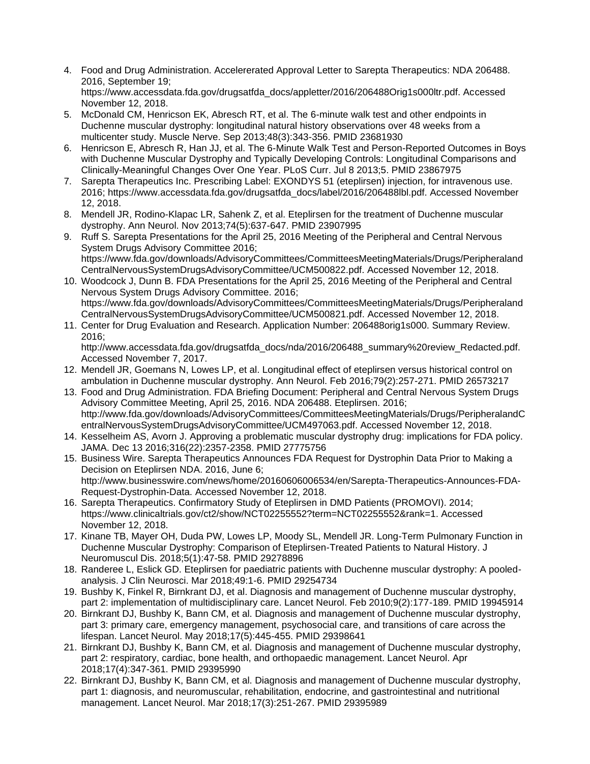- 4. Food and Drug Administration. Accelererated Approval Letter to Sarepta Therapeutics: NDA 206488. 2016, September 19; https://www.accessdata.fda.gov/drugsatfda\_docs/appletter/2016/206488Orig1s000ltr.pdf. Accessed November 12, 2018.
- 5. McDonald CM, Henricson EK, Abresch RT, et al. The 6-minute walk test and other endpoints in Duchenne muscular dystrophy: longitudinal natural history observations over 48 weeks from a multicenter study. Muscle Nerve. Sep 2013;48(3):343-356. PMID 23681930
- 6. Henricson E, Abresch R, Han JJ, et al. The 6-Minute Walk Test and Person-Reported Outcomes in Boys with Duchenne Muscular Dystrophy and Typically Developing Controls: Longitudinal Comparisons and Clinically-Meaningful Changes Over One Year. PLoS Curr. Jul 8 2013;5. PMID 23867975
- 7. Sarepta Therapeutics Inc. Prescribing Label: EXONDYS 51 (eteplirsen) injection, for intravenous use. 2016; https://www.accessdata.fda.gov/drugsatfda\_docs/label/2016/206488lbl.pdf. Accessed November 12, 2018.
- 8. Mendell JR, Rodino-Klapac LR, Sahenk Z, et al. Eteplirsen for the treatment of Duchenne muscular dystrophy. Ann Neurol. Nov 2013;74(5):637-647. PMID 23907995
- 9. Ruff S. Sarepta Presentations for the April 25, 2016 Meeting of the Peripheral and Central Nervous System Drugs Advisory Committee 2016; https://www.fda.gov/downloads/AdvisoryCommittees/CommitteesMeetingMaterials/Drugs/Peripheraland CentralNervousSystemDrugsAdvisoryCommittee/UCM500822.pdf. Accessed November 12, 2018.
- 10. Woodcock J, Dunn B. FDA Presentations for the April 25, 2016 Meeting of the Peripheral and Central Nervous System Drugs Advisory Committee. 2016; https://www.fda.gov/downloads/AdvisoryCommittees/CommitteesMeetingMaterials/Drugs/Peripheraland CentralNervousSystemDrugsAdvisoryCommittee/UCM500821.pdf. Accessed November 12, 2018.
- 11. Center for Drug Evaluation and Research. Application Number: 206488orig1s000. Summary Review. 2016;

http://www.accessdata.fda.gov/drugsatfda\_docs/nda/2016/206488\_summary%20review\_Redacted.pdf. Accessed November 7, 2017.

- 12. Mendell JR, Goemans N, Lowes LP, et al. Longitudinal effect of eteplirsen versus historical control on ambulation in Duchenne muscular dystrophy. Ann Neurol. Feb 2016;79(2):257-271. PMID 26573217
- 13. Food and Drug Administration. FDA Briefing Document: Peripheral and Central Nervous System Drugs Advisory Committee Meeting, April 25, 2016. NDA 206488. Eteplirsen. 2016; http://www.fda.gov/downloads/AdvisoryCommittees/CommitteesMeetingMaterials/Drugs/PeripheralandC entralNervousSystemDrugsAdvisoryCommittee/UCM497063.pdf. Accessed November 12, 2018.
- 14. Kesselheim AS, Avorn J. Approving a problematic muscular dystrophy drug: implications for FDA policy. JAMA. Dec 13 2016;316(22):2357-2358. PMID 27775756
- 15. Business Wire. Sarepta Therapeutics Announces FDA Request for Dystrophin Data Prior to Making a Decision on Eteplirsen NDA. 2016, June 6; http://www.businesswire.com/news/home/20160606006534/en/Sarepta-Therapeutics-Announces-FDA-Request-Dystrophin-Data. Accessed November 12, 2018.
- 16. Sarepta Therapeutics. Confirmatory Study of Eteplirsen in DMD Patients (PROMOVI). 2014; https://www.clinicaltrials.gov/ct2/show/NCT02255552?term=NCT02255552&rank=1. Accessed November 12, 2018.
- 17. Kinane TB, Mayer OH, Duda PW, Lowes LP, Moody SL, Mendell JR. Long-Term Pulmonary Function in Duchenne Muscular Dystrophy: Comparison of Eteplirsen-Treated Patients to Natural History. J Neuromuscul Dis. 2018;5(1):47-58. PMID 29278896
- 18. Randeree L, Eslick GD. Eteplirsen for paediatric patients with Duchenne muscular dystrophy: A pooledanalysis. J Clin Neurosci. Mar 2018;49:1-6. PMID 29254734
- 19. Bushby K, Finkel R, Birnkrant DJ, et al. Diagnosis and management of Duchenne muscular dystrophy, part 2: implementation of multidisciplinary care. Lancet Neurol. Feb 2010;9(2):177-189. PMID 19945914
- 20. Birnkrant DJ, Bushby K, Bann CM, et al. Diagnosis and management of Duchenne muscular dystrophy, part 3: primary care, emergency management, psychosocial care, and transitions of care across the lifespan. Lancet Neurol. May 2018;17(5):445-455. PMID 29398641
- 21. Birnkrant DJ, Bushby K, Bann CM, et al. Diagnosis and management of Duchenne muscular dystrophy, part 2: respiratory, cardiac, bone health, and orthopaedic management. Lancet Neurol. Apr 2018;17(4):347-361. PMID 29395990
- 22. Birnkrant DJ, Bushby K, Bann CM, et al. Diagnosis and management of Duchenne muscular dystrophy, part 1: diagnosis, and neuromuscular, rehabilitation, endocrine, and gastrointestinal and nutritional management. Lancet Neurol. Mar 2018;17(3):251-267. PMID 29395989